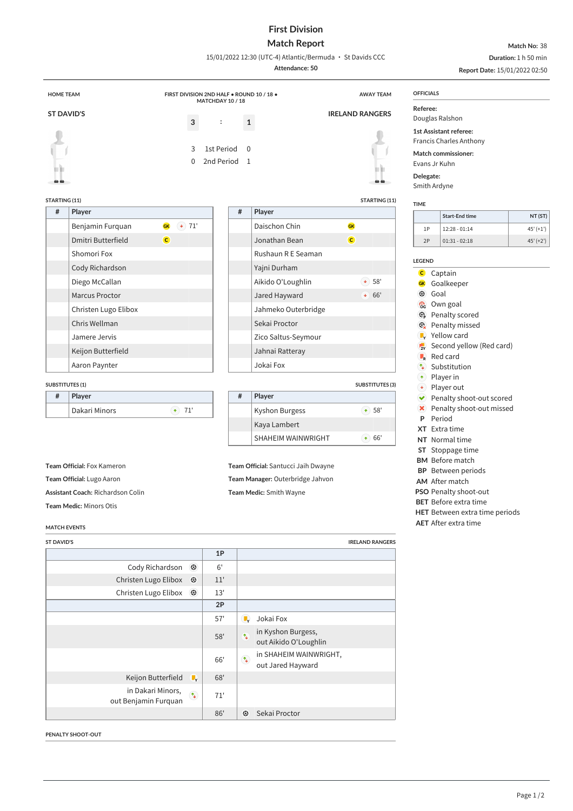## **First Division**

## **Match Report** 15/01/2022 12:30 (UTC-4) Atlantic/Bermuda · St Davids CCC

**Match No:** 38 **Duration:** 1 h 50 min

|                                   |                                            |                                                    |                                     | Attendance: 50          |                        |                             | Report Date: 15/01/2022 02:50                                                                    |  |  |
|-----------------------------------|--------------------------------------------|----------------------------------------------------|-------------------------------------|-------------------------|------------------------|-----------------------------|--------------------------------------------------------------------------------------------------|--|--|
| <b>HOME TEAM</b>                  | FIRST DIVISION 2ND HALF . ROUND 10 / 18 .  |                                                    |                                     |                         | <b>AWAY TEAM</b>       | <b>OFFICIALS</b>            |                                                                                                  |  |  |
| <b>ST DAVID'S</b><br>$\mathbf{3}$ |                                            | MATCHDAY 10 / 18<br>$\ddot{\cdot}$<br>$\mathbf{1}$ |                                     |                         | <b>IRELAND RANGERS</b> |                             | Referee:<br>Douglas Ralshon                                                                      |  |  |
|                                   | 3<br>$\Omega$                              | 1st Period<br>2nd Period 1                         | $\Omega$                            |                         |                        |                             | 1st Assistant referee:<br><b>Francis Charles Anthony</b><br>Match commissioner:<br>Evans Jr Kuhn |  |  |
| ๛๛                                |                                            |                                                    |                                     |                         | 66                     | Delegate:                   | Smith Ardyne                                                                                     |  |  |
| STARTING (11)                     |                                            |                                                    |                                     |                         | STARTING (11)          |                             |                                                                                                  |  |  |
| $\#$                              | Player                                     |                                                    | $\#$                                | Player                  |                        | <b>TIME</b>                 | <b>Start-End time</b><br>NT (ST)                                                                 |  |  |
|                                   | $(*)$ 71'<br><b>GK</b><br>Benjamin Furquan |                                                    |                                     | Daischon Chin           | GK                     | 1P                          | $45' (+1')$<br>$12:28 - 01:14$                                                                   |  |  |
|                                   | $\mathbf{C}$<br>Dmitri Butterfield         |                                                    |                                     | Jonathan Bean           | $\mathsf{C}$           | 2P                          | $01:31 - 02:18$<br>$45' (+2')$                                                                   |  |  |
|                                   | Shomori Fox                                |                                                    |                                     | Rushaun R E Seaman      |                        |                             |                                                                                                  |  |  |
|                                   | Cody Richardson                            |                                                    |                                     | Yajni Durham            |                        | <b>LEGEND</b>               |                                                                                                  |  |  |
|                                   | Diego McCallan                             |                                                    |                                     | Aikido O'Loughlin       | $\bullet$ 58'          | $\mathbf{C}$<br><b>GK</b>   | Captain<br>Goalkeeper                                                                            |  |  |
|                                   | Marcus Proctor                             |                                                    |                                     | Jared Hayward           | $+ 66'$                | $\odot$                     | Goal                                                                                             |  |  |
|                                   | Christen Lugo Elibox                       |                                                    |                                     | Jahmeko Outerbridge     |                        | ි                           | Own goal                                                                                         |  |  |
|                                   | Chris Wellman                              |                                                    |                                     | Sekai Proctor           |                        | $\mathbb{G}$<br>Q           | Penalty scored<br>Penalty missed                                                                 |  |  |
|                                   | Jamere Jervis                              |                                                    |                                     | Zico Saltus-Seymour     |                        | $\blacksquare_{\mathsf{v}}$ | Yellow card                                                                                      |  |  |
|                                   | Keijon Butterfield                         |                                                    |                                     | Jahnai Ratteray         |                        | $\frac{1}{2Y}$              | Second yellow (Red card)                                                                         |  |  |
|                                   | Aaron Paynter                              |                                                    |                                     | Jokai Fox               |                        | $\blacksquare_{\sf R}$      | Red card                                                                                         |  |  |
|                                   |                                            |                                                    |                                     |                         |                        | $\uparrow$<br>$(\bullet)$   | Substitution<br>Player in                                                                        |  |  |
|                                   | <b>SUBSTITUTES (1)</b>                     |                                                    |                                     |                         | <b>SUBSTITUTES (3)</b> | $(\bullet)$                 | Player out                                                                                       |  |  |
| #                                 | Player                                     |                                                    | $\#$                                | Player                  |                        | $\blacktriangledown$        | Penalty shoot-out scored                                                                         |  |  |
|                                   | $+ 71'$<br>Dakari Minors                   |                                                    |                                     | Kyshon Burgess          | $+ 58'$                | $\mathbf x$<br>P            | Penalty shoot-out missed<br>Period                                                               |  |  |
|                                   |                                            |                                                    |                                     | Kaya Lambert            |                        |                             | XT Extra time                                                                                    |  |  |
|                                   |                                            |                                                    |                                     | SHAHEIM WAINWRIGHT      | $+ 66'$                |                             | NT Normal time                                                                                   |  |  |
|                                   |                                            |                                                    |                                     |                         |                        |                             | ST Stoppage time                                                                                 |  |  |
| Team Official: Fox Kameron        |                                            |                                                    | Team Official: Santucci Jaih Dwayne |                         |                        |                             | <b>BM</b> Before match<br><b>BP</b> Between periods                                              |  |  |
| Team Official: Lugo Aaron         |                                            |                                                    | Team Manager: Outerbridge Jahvon    |                         |                        |                             | AM After match                                                                                   |  |  |
|                                   | Assistant Coach: Richardson Colin          |                                                    |                                     | Team Medic: Smith Wayne |                        |                             | <b>PSO Penalty shoot-out</b>                                                                     |  |  |
|                                   | Team Medic: Minors Otis                    |                                                    |                                     |                         |                        |                             | <b>BET</b> Before extra time<br>HET Between extra time periods                                   |  |  |
|                                   | <b>MATCH EVENTS</b>                        |                                                    |                                     |                         |                        |                             | <b>AET</b> After extra time                                                                      |  |  |
| <b>ST DAVID'S</b>                 |                                            |                                                    |                                     |                         | <b>IRELAND RANGERS</b> |                             |                                                                                                  |  |  |
|                                   |                                            | 1P                                                 |                                     |                         |                        |                             |                                                                                                  |  |  |
|                                   | Cody Richardson <sup>3</sup>               | 6'                                                 |                                     |                         |                        |                             |                                                                                                  |  |  |
|                                   | Christen Lugo Elibox<br>$\odot$            | 11'                                                |                                     |                         |                        |                             |                                                                                                  |  |  |
|                                   | Christen Lugo Elibox <sup>3</sup>          | 13'                                                |                                     |                         |                        |                             |                                                                                                  |  |  |
|                                   |                                            | 2P                                                 |                                     |                         |                        |                             |                                                                                                  |  |  |
|                                   |                                            | 57'                                                | $\blacksquare$                      | Jokai Fox               |                        |                             |                                                                                                  |  |  |
|                                   |                                            | 58'                                                |                                     | in Kyshon Burgess,      |                        |                             |                                                                                                  |  |  |

|                                                         | 2P  |                                                                       |
|---------------------------------------------------------|-----|-----------------------------------------------------------------------|
|                                                         | 57' | Jokai Fox                                                             |
|                                                         | 58' | in Kyshon Burgess,<br>$\uparrow_\perp$<br>out Aikido O'Loughlin       |
|                                                         | 66' | in SHAHEIM WAINWRIGHT,<br>$\mathbf{r}_{\bullet}$<br>out Jared Hayward |
| Keijon Butterfield<br>$\mathbb{L}_{\mathbf{y}}$         | 68' |                                                                       |
| in Dakari Minors,<br>$\uparrow$<br>out Benjamin Furquan | 71' |                                                                       |
|                                                         | 86' | $\odot$<br>Sekai Proctor                                              |

**PENALTY SHOOT-OUT**